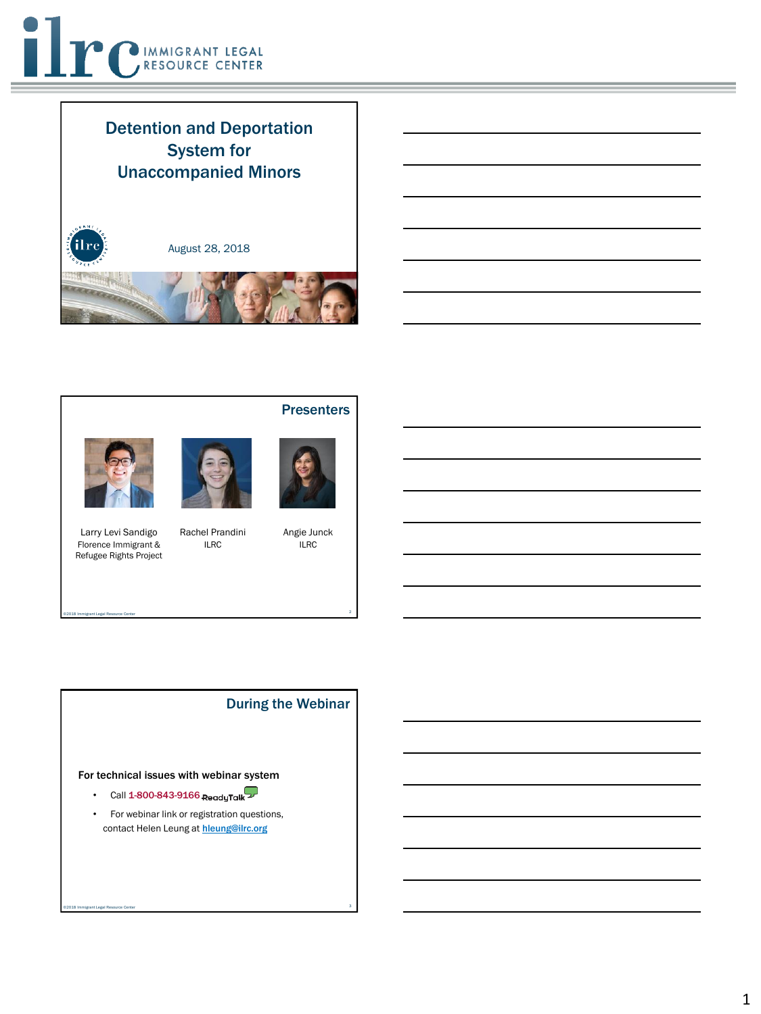

## Detention and Deportation System for Unaccompanied Minors









**Presenters** 

Larry Levi Sandigo Florence Immigrant & Refugee Rights Project

Rachel Prandini ILRC

2 ©2018 Immigrant Legal Resource Center

Angie Junck

#### For technical issues with webinar system

- Call  $1-800-843-9166$  ReadyTalk  $\mathcal{D}$
- For webinar link or registration questions, contact Helen Leung at hleung@ilrc.org

3 ©2018 Immigrant Legal Resource Center



During the Webinar

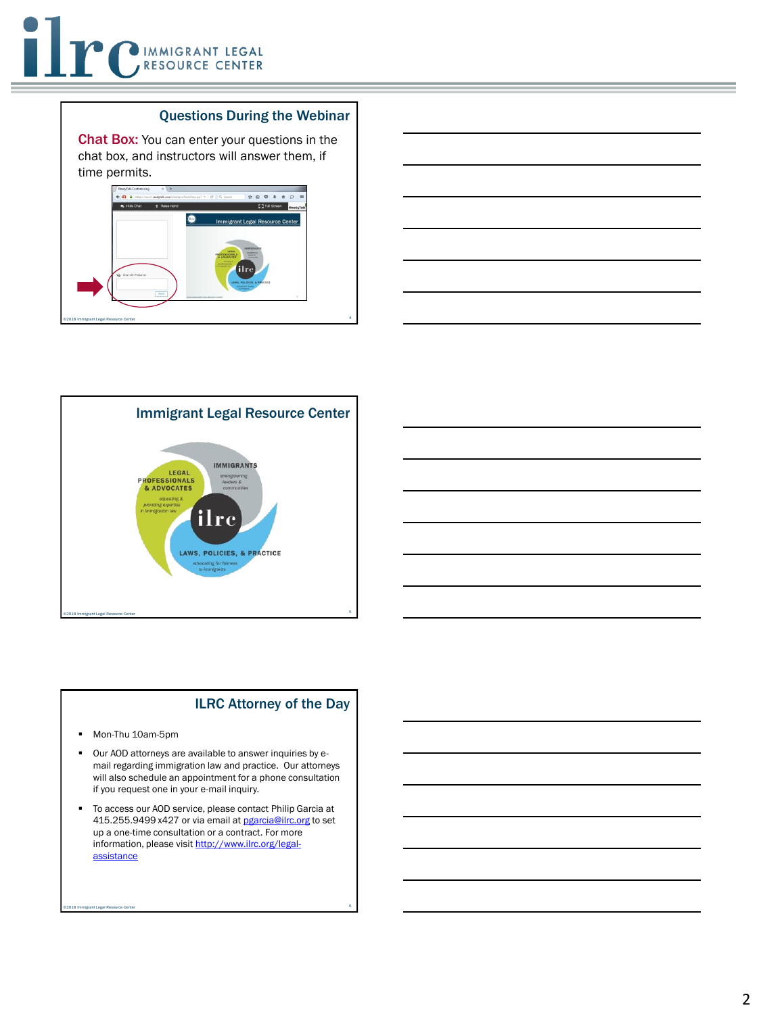#### Questions During the Webinar

Chat Box: You can enter your questions in the chat box, and instructors will answer them, if time permits.







#### ILRC Attorney of the Day

- Mon-Thu 10am-5pm
- Our AOD attorneys are available to answer inquiries by email regarding immigration law and practice. Our attorneys will also schedule an appointment for a phone consultation if you request one in your e-mail inquiry.
- To access our AOD service, please contact Philip Garcia at 415.255.9499 x427 or via email at [pgarcia@ilrc.org](mailto:pgarcia@ilrc.org) to set up a one-time consultation or a contract. For more [information, please visit http://www.ilrc.org/legal](http://www.ilrc.org/legal-assistance)assistance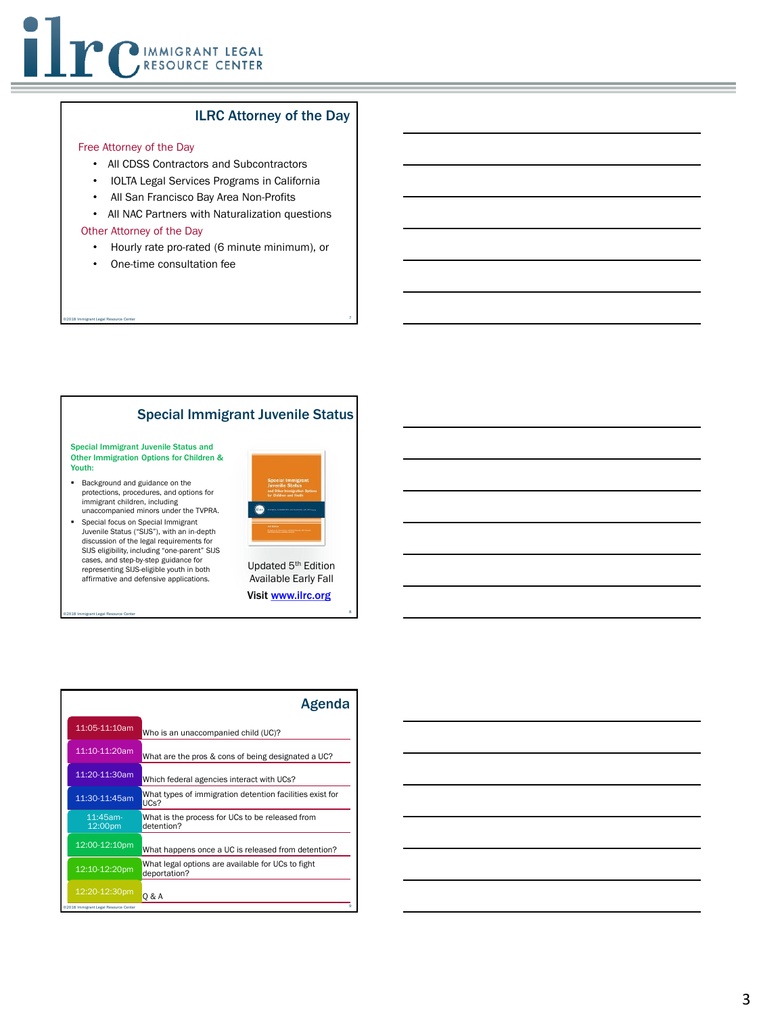#### ILRC Attorney of the Day

#### Free Attorney of the Day

- All CDSS Contractors and Subcontractors
- IOLTA Legal Services Programs in California
- All San Francisco Bay Area Non-Profits
- All NAC Partners with Naturalization questions

#### Other Attorney of the Day

• Hourly rate pro-rated (6 minute minimum), or

7 ©2018 Immigrant Legal Resource Center

• One-time consultation fee

#### Special Immigrant Juvenile Status

Special Immigrant Juvenile Status and Other Immigration Options for Children & Youth:

- Background and guidance on the protections, procedures, and options for immigrant children, including unaccompanied minors under the TVPRA.
- Special focus on Special Immigrant Juvenile Status ("SIJS"), with an in-depth discussion of the legal requirements for SIJS eligibility, including "one-parent" SIJS cases, and step-by-step guidance for representing SIJS-eligible youth in both affirmative and defensive applications.



Updated 5th Edition Available Early Fall Visit [www.ilrc.org](http://www.ilrc.org/)

|                                       | Agenda                                                            |
|---------------------------------------|-------------------------------------------------------------------|
| 11:05-11:10am                         | Who is an unaccompanied child (UC)?                               |
| 11:10-11:20am                         | What are the pros & cons of being designated a UC?                |
| 11:20-11:30am                         | Which federal agencies interact with UCs?                         |
| 11:30-11:45am                         | What types of immigration detention facilities exist for<br>UCs?  |
| $11:45$ am-<br>12:00pm                | What is the process for UCs to be released from<br>detention?     |
| 12:00-12:10pm                         | What happens once a UC is released from detention?                |
| 12:10-12:20pm                         | What legal options are available for UCs to fight<br>deportation? |
| 12:20-12:30pm                         | 0 & A                                                             |
| @2018 Immigrant Legal Resource Center |                                                                   |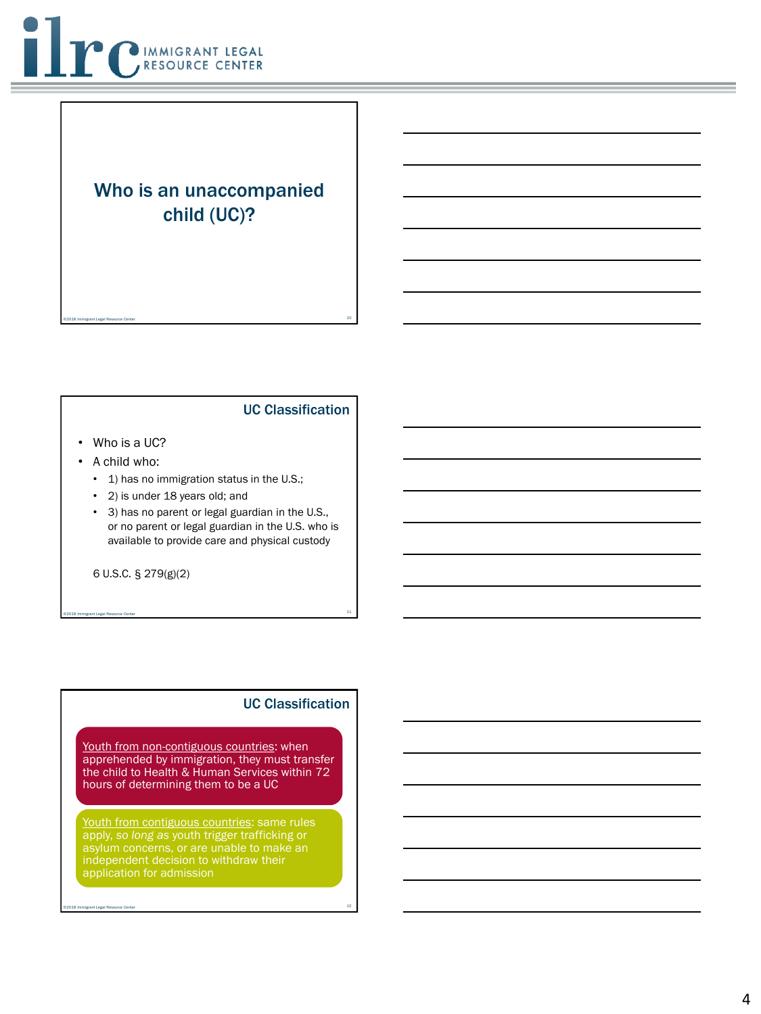

## Who is an unaccompanied child (UC)?

10 ©2018 Immigrant Legal Resource Center

#### UC Classification

- Who is a UC?
- A child who:
	- 1) has no immigration status in the U.S.;
	- 2) is under 18 years old; and
	- 3) has no parent or legal guardian in the U.S., or no parent or legal guardian in the U.S. who is available to provide care and physical custody

11 ©2018 Immigrant Legal Resource Center

6 U.S.C. § 279(g)(2)

#### UC Classification

Youth from non-contiguous countries: when apprehended by immigration, they must transfer the child to Health & Human Services within 72 hours of determining them to be a UC

Youth from contiguous countries: same rules apply, *so long as* youth trigger trafficking or application for admission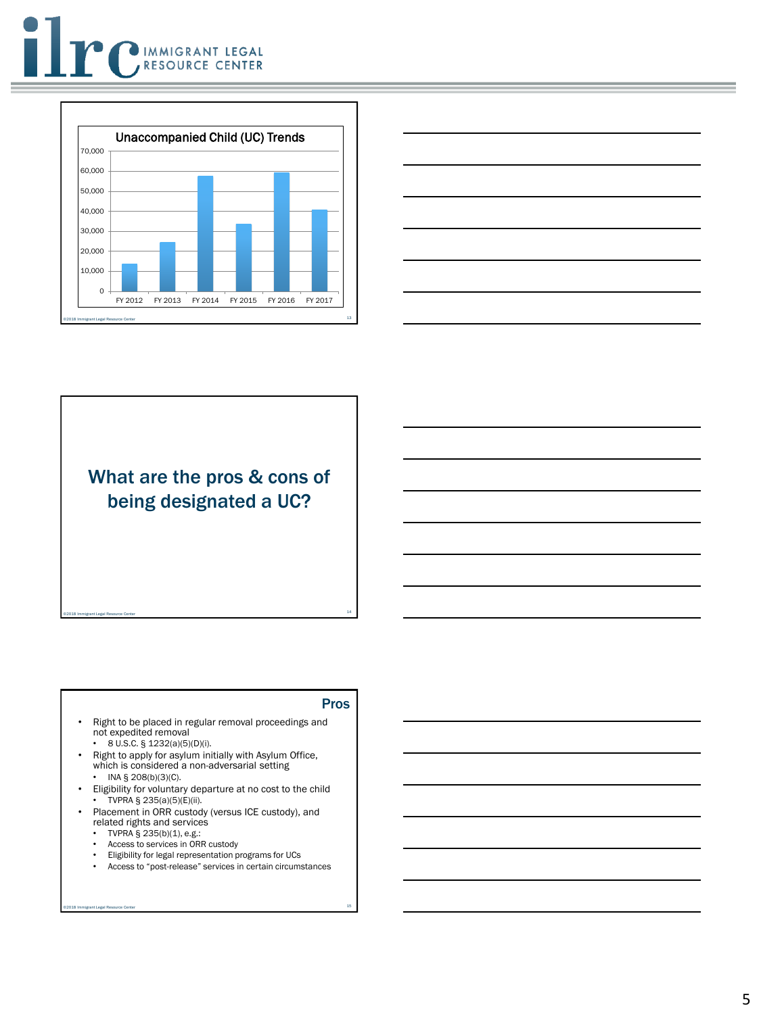





What are the pros & cons of being designated a UC?

14 ©2018 Immigrant Legal Resource Center

#### Pros

- Right to be placed in regular removal proceedings and not expedited removal
	- 8 U.S.C. § 1232(a)(5)(D)(i).
- Right to apply for asylum initially with Asylum Office, which is considered a non-adversarial setting
- INA § 208(b)(3)(C).
- Eligibility for voluntary departure at no cost to the child • TVPRA § 235(a)(5)(E)(ii).
- Placement in ORR custody (versus ICE custody), and related rights and services
	- TVPRA  $\S$  235(b)(1), e.g.:
	- Access to services in ORR custody
	- Eligibility for legal representation programs for UCs
	- Access to "post-release" services in certain circumstances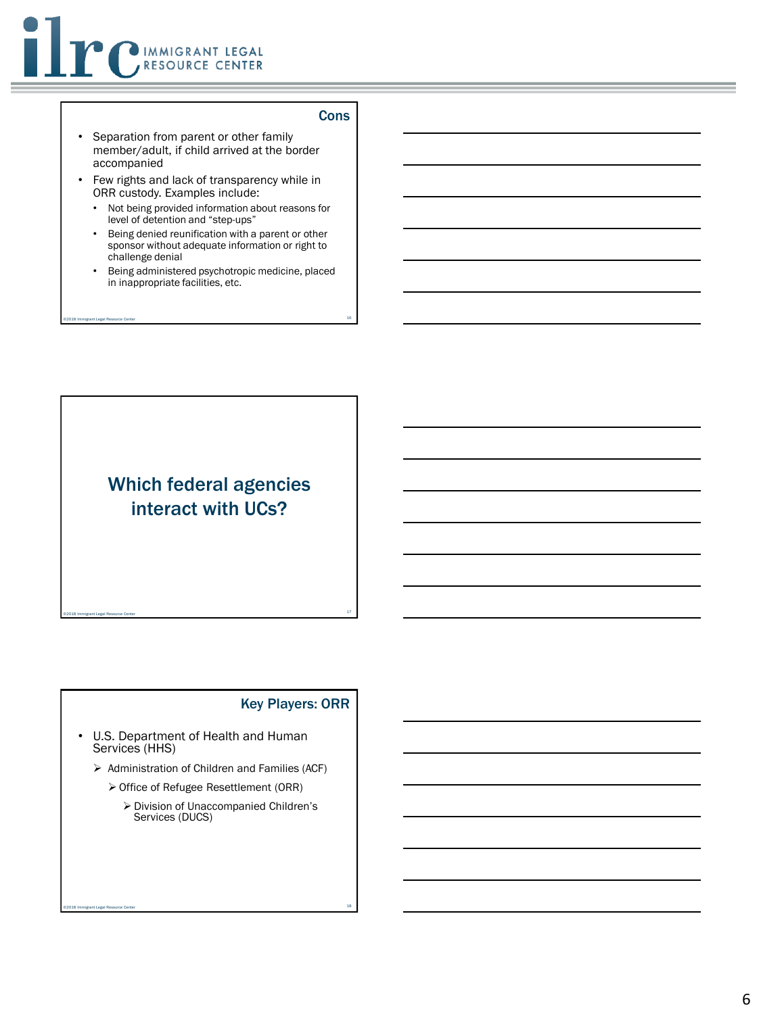

#### **Cons**

- Separation from parent or other family member/adult, if child arrived at the border accompanied
- Few rights and lack of transparency while in ORR custody. Examples include:
	- Not being provided information about reasons for level of detention and "step-ups"
	- Being denied reunification with a parent or other sponsor without adequate information or right to challenge denial
	- Being administered psychotropic medicine, placed in inappropriate facilities, etc.

16 ©2018 Immigrant Legal Resource Center

## Which federal agencies interact with UCs?

17 ©2018 Immigrant Legal Resource Center

#### Key Players: ORR

- U.S. Department of Health and Human Services (HHS)
	- ➢ Administration of Children and Families (ACF)
		- ➢ Office of Refugee Resettlement (ORR)

18 ©2018 Immigrant Legal Resource Center

➢ Division of Unaccompanied Children's Services (DUCS)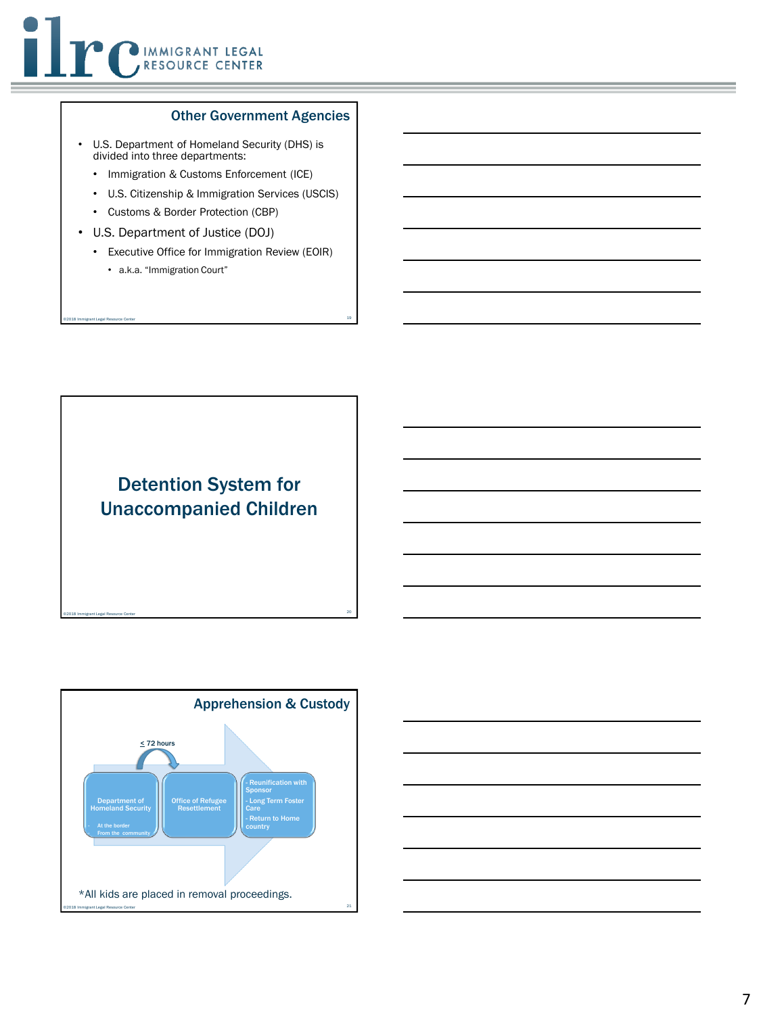#### Other Government Agencies

- U.S. Department of Homeland Security (DHS) is divided into three departments:
	- Immigration & Customs Enforcement (ICE)
	- U.S. Citizenship & Immigration Services (USCIS)
	- Customs & Border Protection (CBP)
- U.S. Department of Justice (DOJ)
	- Executive Office for Immigration Review (EOIR)

19 ©2018 Immigrant Legal Resource Center

• a.k.a. "Immigration Court"





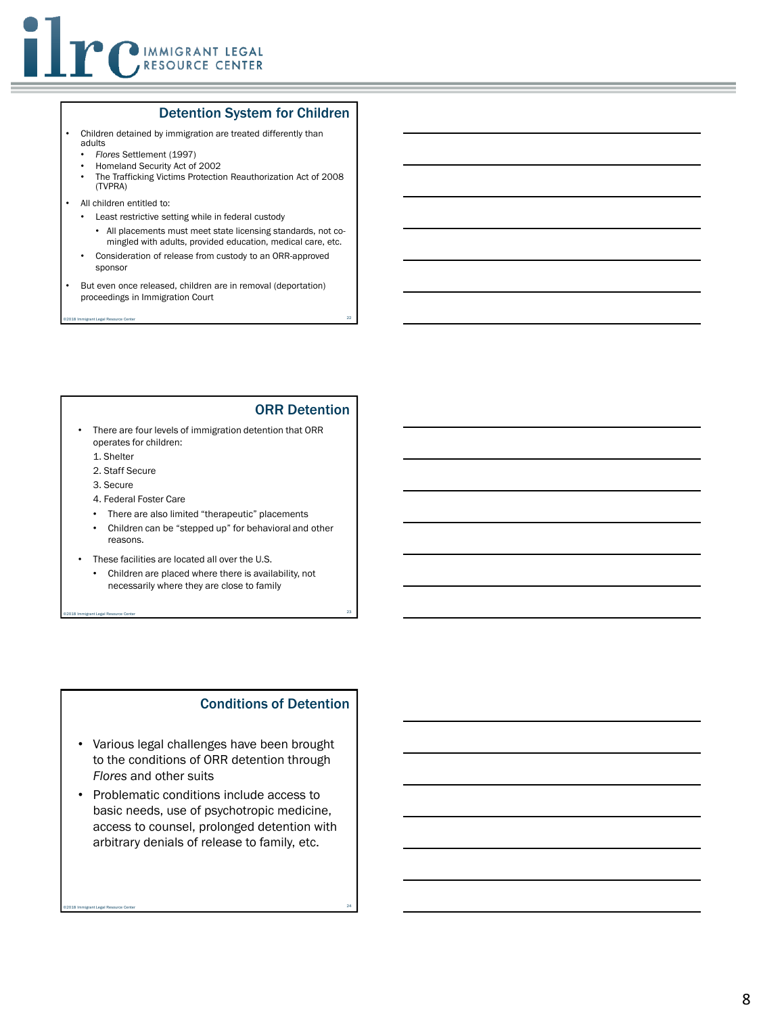

#### Detention System for Children

- Children detained by immigration are treated differently than adults
	- *Flores* Settlement (1997)
	- Homeland Security Act of 2002
	- The Trafficking Victims Protection Reauthorization Act of 2008 (TVPRA)
- All children entitled to:
	- Least restrictive setting while in federal custody
		- All placements must meet state licensing standards, not comingled with adults, provided education, medical care, etc.
	- Consideration of release from custody to an ORR-approved sponsor
- But even once released, children are in removal (deportation) proceedings in Immigration Court

22 ©2018 Immigrant Legal Resource Center

#### ORR Detention

- There are four levels of immigration detention that ORR operates for children:
	- 1. Shelter
	- 2. Staff Secure
	- 3. Secure
	- 4. Federal Foster Care
	- There are also limited "therapeutic" placements
	- Children can be "stepped up" for behavioral and other reasons.
- These facilities are located all over the U.S.
	- Children are placed where there is availability, not necessarily where they are close to family

23 ©2018 Immigrant Legal Resource Center

#### Conditions of Detention

- Various legal challenges have been brought to the conditions of ORR detention through *Flores* and other suits
- Problematic conditions include access to basic needs, use of psychotropic medicine, access to counsel, prolonged detention with arbitrary denials of release to family, etc.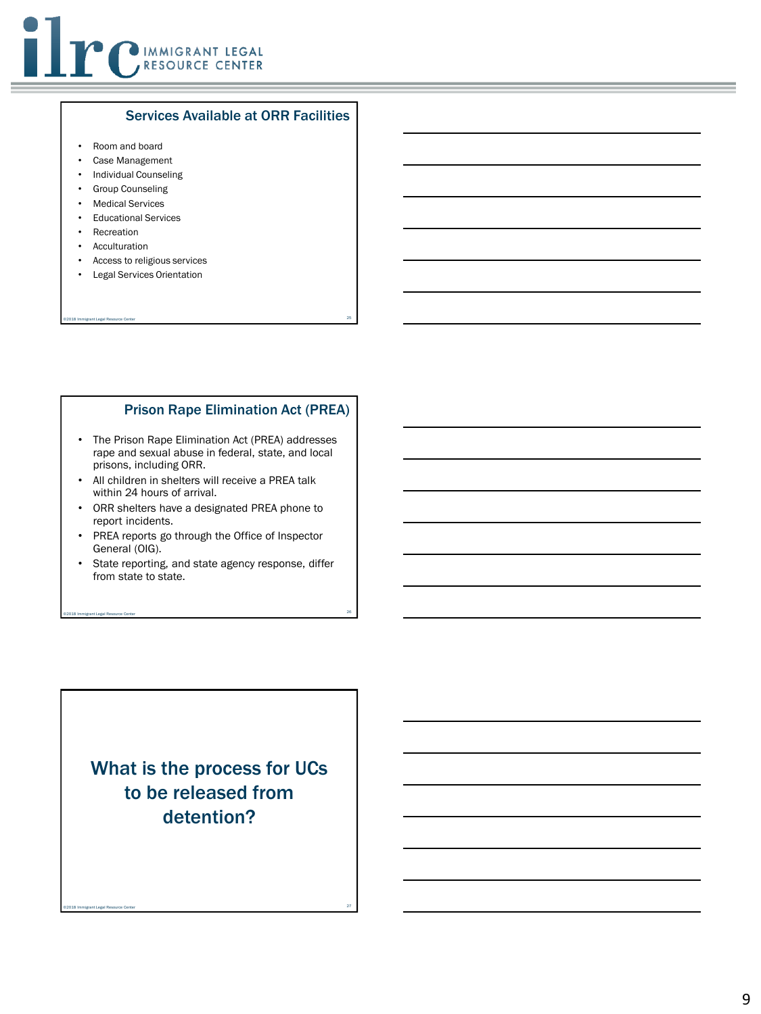

#### Services Available at ORR Facilities

- Room and board
- Case Management
- Individual Counseling
- Group Counseling
- Medical Services
- Educational Services
- Recreation
- Acculturation
- Access to religious services
- Legal Services Orientation

#### Prison Rape Elimination Act (PREA)

• The Prison Rape Elimination Act (PREA) addresses rape and sexual abuse in federal, state, and local prisons, including ORR.

25 ©2018 Immigrant Legal Resource Center

- All children in shelters will receive a PREA talk within 24 hours of arrival.
- ORR shelters have a designated PREA phone to report incidents.
- PREA reports go through the Office of Inspector General (OIG).
- State reporting, and state agency response, differ from state to state.

26 ©2018 Immigrant Legal Resource Center

What is the process for UCs to be released from detention?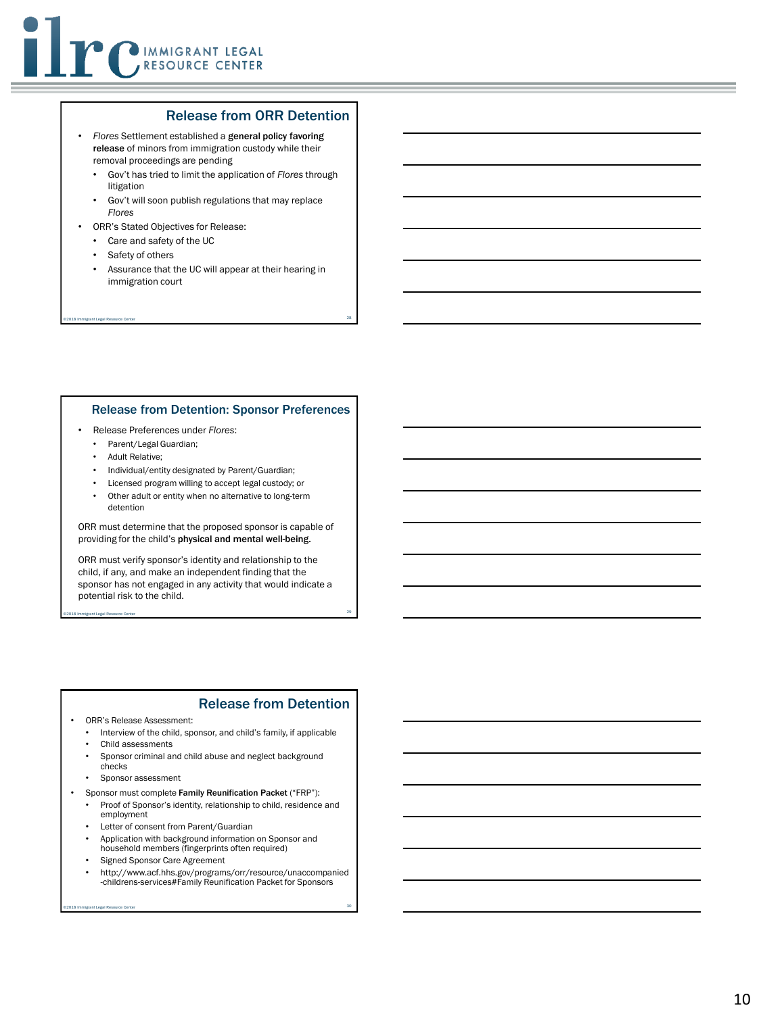#### Release from ORR Detention

- *Flores* Settlement established a general policy favoring release of minors from immigration custody while their removal proceedings are pending
	- Gov't has tried to limit the application of *Flores* through litigation
	- Gov't will soon publish regulations that may replace *Flores*
- ORR's Stated Objectives for Release:
	- Care and safety of the UC
	- Safety of others
	- Assurance that the UC will appear at their hearing in immigration court

28 ©2018 Immigrant Legal Resource Center

#### Release from Detention: Sponsor Preferences

- Release Preferences under *Flores*:
	- Parent/Legal Guardian;
	- Adult Relative;
	- Individual/entity designated by Parent/Guardian;
	- Licensed program willing to accept legal custody; or
	- Other adult or entity when no alternative to long-term detention

ORR must determine that the proposed sponsor is capable of providing for the child's physical and mental well-being.

ORR must verify sponsor's identity and relationship to the child, if any, and make an independent finding that the sponsor has not engaged in any activity that would indicate a potential risk to the child.

29 ©2018 Immigrant Legal Resource Center

#### Release from Detention

- ORR's Release Assessment:
	- Interview of the child, sponsor, and child's family, if applicable
	- Child assessments
	- Sponsor criminal and child abuse and neglect background
	- checks
	- Sponsor assessment
- Sponsor must complete Family Reunification Packet ("FRP"):
	- Proof of Sponsor's identity, relationship to child, residence and employment
- Letter of consent from Parent/Guardian
- Application with background information on Sponsor and household members (fingerprints often required)
- Signed Sponsor Care Agreement
- http://www.acf.hhs.gov/programs/orr/resource/unaccompanied -childrens-services#Family Reunification Packet for Sponsors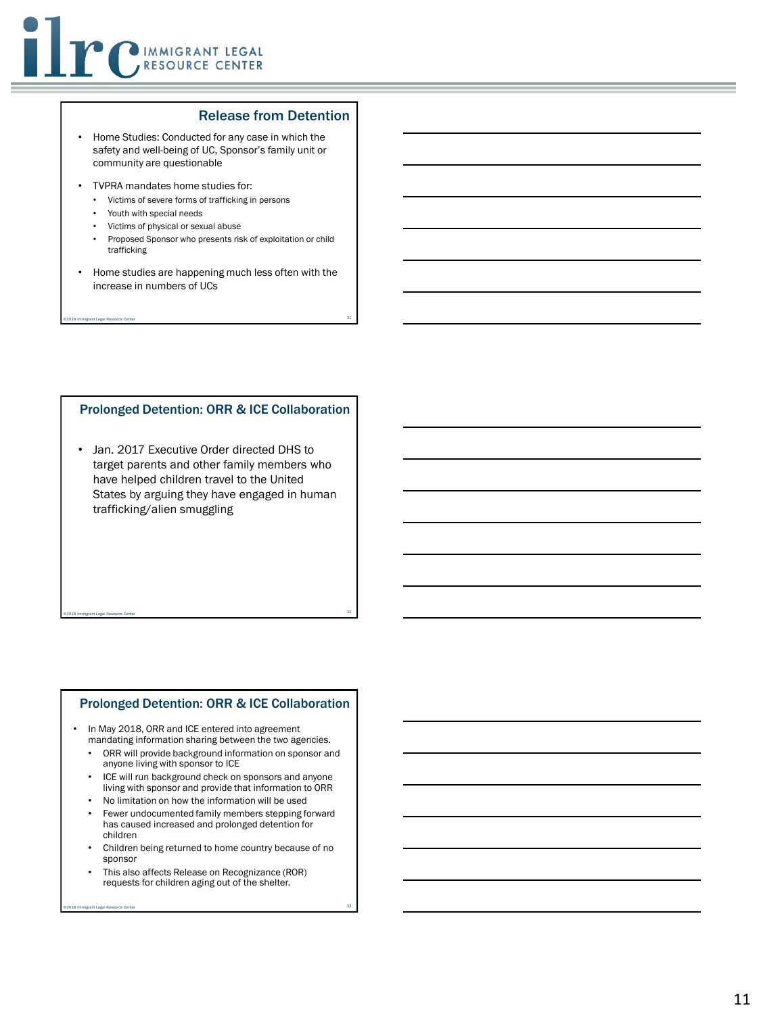#### Release from Detention

- Home Studies: Conducted for any case in which the safety and well-being of UC, Sponsor's family unit or community are questionable
- TVPRA mandates home studies for:
	- Victims of severe forms of trafficking in persons
	- Youth with special needs
	- Victims of physical or sexual abuse
	- Proposed Sponsor who presents risk of exploitation or child trafficking
- Home studies are happening much less often with the increase in numbers of UCs

31 ©2018 Immigrant Legal Resource Center

#### Prolonged Detention: ORR & ICE Collaboration

• Jan. 2017 Executive Order directed DHS to target parents and other family members who have helped children travel to the United States by arguing they have engaged in human trafficking/alien smuggling

#### Prolonged Detention: ORR & ICE Collaboration

32 ©2018 Immigrant Legal Resource Center

In May 2018, ORR and ICE entered into agreement mandating information sharing between the two agencies.

- ORR will provide background information on sponsor and anyone living with sponsor to ICE
- ICE will run background check on sponsors and anyone living with sponsor and provide that information to ORR
- No limitation on how the information will be used
- Fewer undocumented family members stepping forward has caused increased and prolonged detention for children
- Children being returned to home country because of no sponsor
- This also affects Release on Recognizance (ROR) requests for children aging out of the shelter.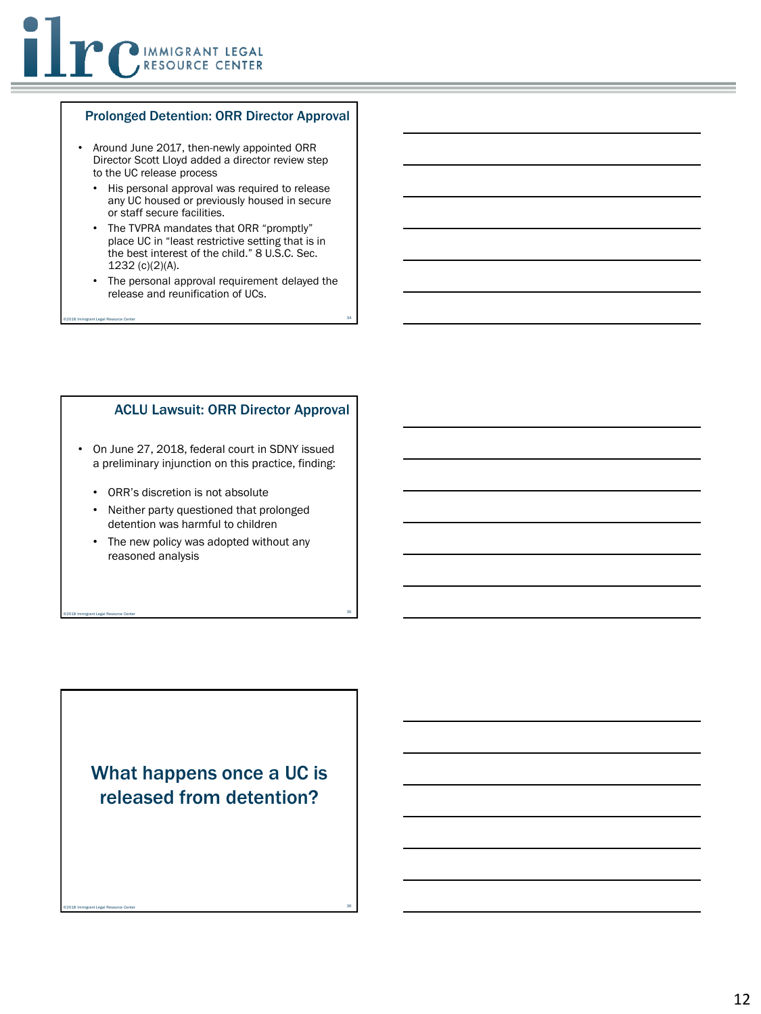#### Prolonged Detention: ORR Director Approval

- Around June 2017, then-newly appointed ORR Director Scott Lloyd added a director review step to the UC release process
	- His personal approval was required to release any UC housed or previously housed in secure or staff secure facilities.
	- The TVPRA mandates that ORR "promptly" place UC in "least restrictive setting that is in the best interest of the child." 8 U.S.C. Sec. 1232 (c)(2)(A).
	- The personal approval requirement delayed the release and reunification of UCs.

34 ©2018 Immigrant Legal Resource Center

#### ACLU Lawsuit: ORR Director Approval

- On June 27, 2018, federal court in SDNY issued a preliminary injunction on this practice, finding:
	- ORR's discretion is not absolute
	- Neither party questioned that prolonged detention was harmful to children
	- The new policy was adopted without any reasoned analysis

35 ©2018 Immigrant Legal Resource Center

## What happens once a UC is released from detention?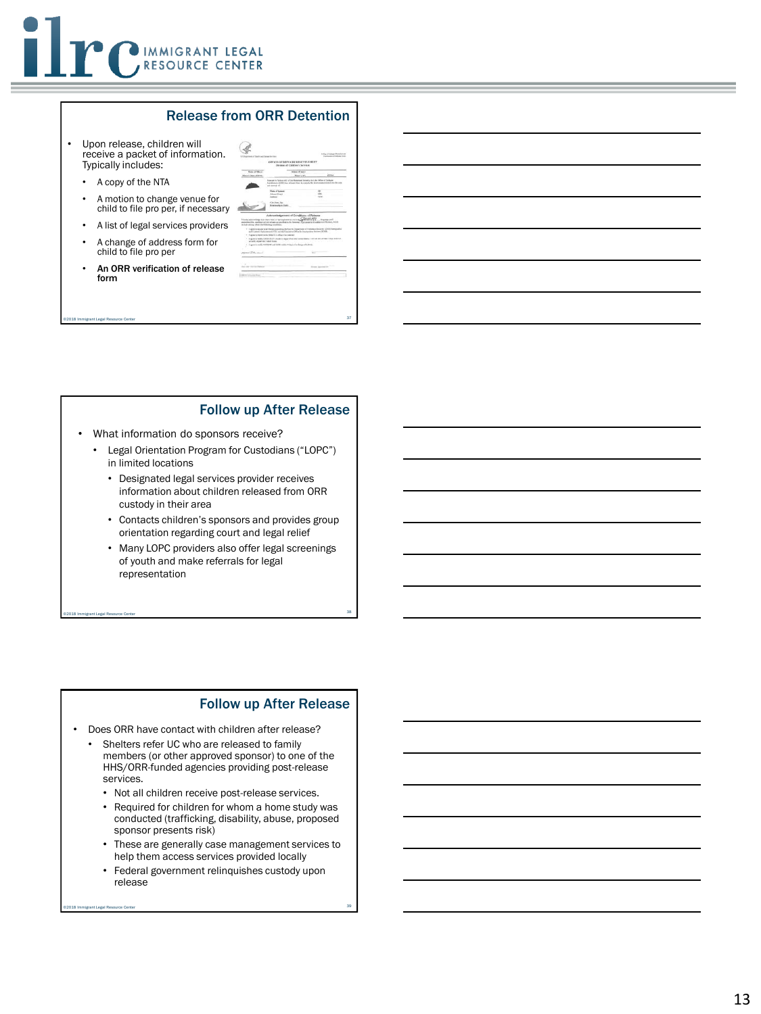#### Release from ORR Detention

- Upon release, children will receive a packet of information. Typically includes:
	- A copy of the NTA
	- A motion to change venue for child to file pro per, if necessa
	- A list of legal services provide
	- A change of address form for child to file pro per
	- An ORR verification of release form

|                                                                                                                                                                                                                                         | 15 Instruct of fixets ad florar inviors<br>OFFICE OF REPOSER RESETTLEMENT.                                                                                         |            | Inchesters Debau Free  |
|-----------------------------------------------------------------------------------------------------------------------------------------------------------------------------------------------------------------------------------------|--------------------------------------------------------------------------------------------------------------------------------------------------------------------|------------|------------------------|
|                                                                                                                                                                                                                                         | Division of Children's Services                                                                                                                                    |            |                        |
| Maska of Wheat!                                                                                                                                                                                                                         | ASKALL BT MAIL                                                                                                                                                     |            |                        |
| Mission's Duty of Block-                                                                                                                                                                                                                | Maurs an                                                                                                                                                           |            | <b>FF</b> 50           |
| and month of                                                                                                                                                                                                                            | Processing Sockey AG white Renaissal Security Act, the Office of Perfects<br>Receives and DIR the released from the entirely the starte mated active into the com- |            |                        |
|                                                                                                                                                                                                                                         | Florida of Kentucky                                                                                                                                                |            | $\sim$                 |
| Address                                                                                                                                                                                                                                 | About Of Last                                                                                                                                                      |            | sin<br>ties.           |
|                                                                                                                                                                                                                                         | On Inn, he                                                                                                                                                         |            |                        |
|                                                                                                                                                                                                                                         |                                                                                                                                                                    |            |                        |
|                                                                                                                                                                                                                                         | <b>Britanniak to Child</b>                                                                                                                                         |            |                        |
|                                                                                                                                                                                                                                         |                                                                                                                                                                    |            |                        |
| Howing adjointingly that I have real, or had applicant in out to the<br>industrial the continues of the schools as specified in the Newman's Agencies and traditions of Relation, Which<br>in bale asking others the Achiming mouthback | Acknowledgement of Conditions of Roberta                                                                                                                           | Sleev      | Telephone, and II      |
| . Lightchingster at all firms proceding before the Diguarament Standard Streets (2003) Then goal as                                                                                                                                     | and Lineary (between set (C)) and the Luxanow Office feel today also finitee (DOOL).                                                                               |            |                        |
| - I appear to meet to the DES/NT office if as ordered<br>1   agree to wally DRISTER (FLANSM to department that throat them I will diction of heat 1 (top theft) L.                                                                      |                                                                                                                                                                    |            |                        |
| pleasily depart for Clubert fronts.                                                                                                                                                                                                     | Lagrantic multi-DAMACE and SOUR widths 2 days of a classe of address.                                                                                              |            | .                      |
| ٠                                                                                                                                                                                                                                       |                                                                                                                                                                    |            |                        |
| manny (TH-cancel                                                                                                                                                                                                                        |                                                                                                                                                                    | <b>Wid</b> |                        |
|                                                                                                                                                                                                                                         |                                                                                                                                                                    |            |                        |
|                                                                                                                                                                                                                                         |                                                                                                                                                                    |            |                        |
| Controller and Co                                                                                                                                                                                                                       |                                                                                                                                                                    |            | <b>Robert American</b> |
|                                                                                                                                                                                                                                         |                                                                                                                                                                    |            |                        |

#### Follow up After Release

- What information do sponsors receive?
	- Legal Orientation Program for Custodians ("LOPC") in limited locations

37 ©2018 Immigrant Legal Resource Center

- Designated legal services provider receives information about children released from ORR custody in their area
- Contacts children's sponsors and provides group orientation regarding court and legal relief
- Many LOPC providers also offer legal screenings of youth and make referrals for legal representation

38 ©2018 Immigrant Legal Resource Center

#### Follow up After Release

- Does ORR have contact with children after release?
	- Shelters refer UC who are released to family members (or other approved sponsor) to one of the HHS/ORR-funded agencies providing post-release services.
	- Not all children receive post-release services.
	- Required for children for whom a home study was conducted (trafficking, disability, abuse, proposed sponsor presents risk)
	- These are generally case management services to help them access services provided locally
	- Federal government relinquishes custody upon release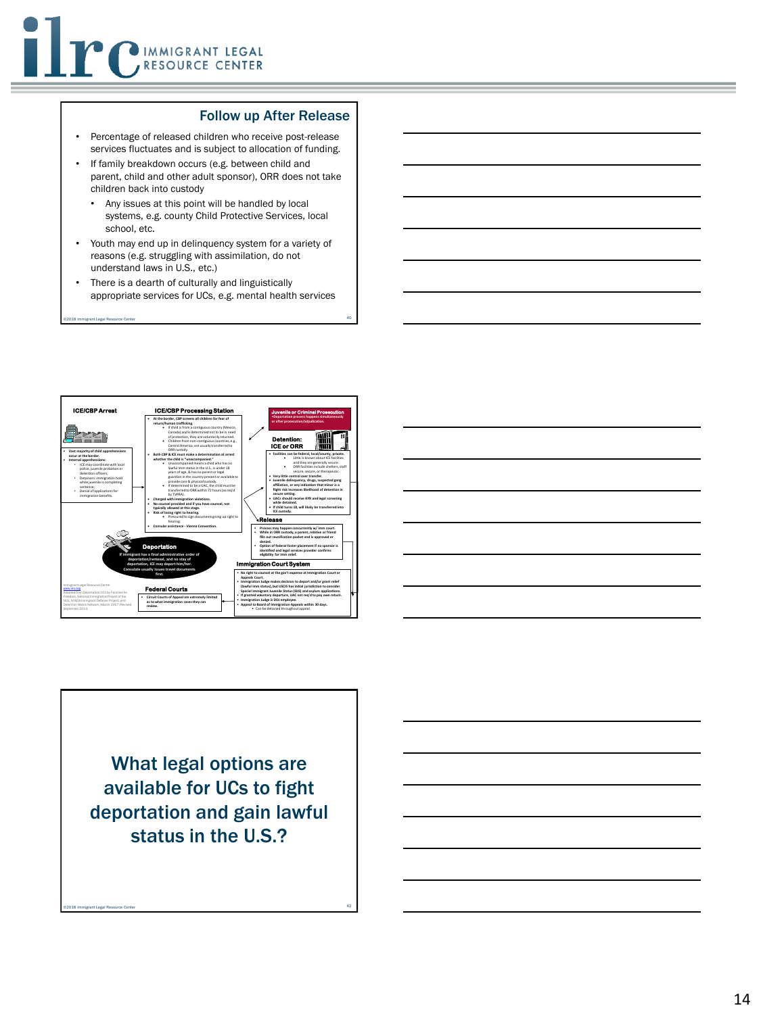#### Follow up After Release

- Percentage of released children who receive post -release services fluctuates and is subject to allocation of funding.
- If family breakdown occurs (e.g. between child and parent, child and other adult sponsor), ORR does not take children back into custody
- Any issues at this point will be handled by local systems, e.g. county Child Protective Services, local school, etc.
- Youth may end up in delinquency system for a variety of reasons (e.g. struggling with assimilation, do not understand laws in U.S., etc.)
- There is a dearth of culturally and linguistically appropriate services for UCs, e.g. mental health services

40 ©2018 Immigrant Legal Resource Center





What legal options are available for UCs to fight deportation and gain lawful status in the U.S.?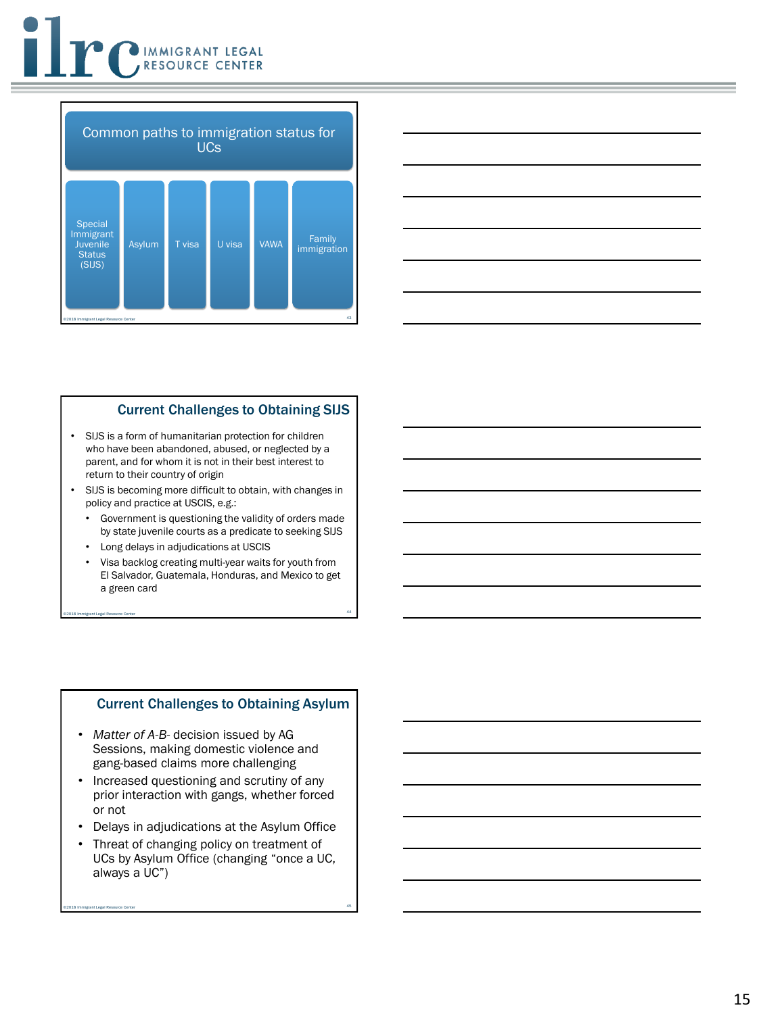





#### Current Challenges to Obtaining SIJS

- SIJS is a form of humanitarian protection for children who have been abandoned, abused, or neglected by a parent, and for whom it is not in their best interest to return to their country of origin
- SIJS is becoming more difficult to obtain, with changes in policy and practice at USCIS, e.g.:
	- Government is questioning the validity of orders made by state juvenile courts as a predicate to seeking SIJS
	- Long delays in adjudications at USCIS
	- Visa backlog creating multi-year waits for youth from El Salvador, Guatemala, Honduras, and Mexico to get a green card

44 ©2018 Immigrant Legal Resource Center

#### Current Challenges to Obtaining Asylum

- *Matter of A-B-* decision issued by AG Sessions, making domestic violence and gang-based claims more challenging
- Increased questioning and scrutiny of any prior interaction with gangs, whether forced or not
- Delays in adjudications at the Asylum Office
- Threat of changing policy on treatment of UCs by Asylum Office (changing "once a UC, always a UC")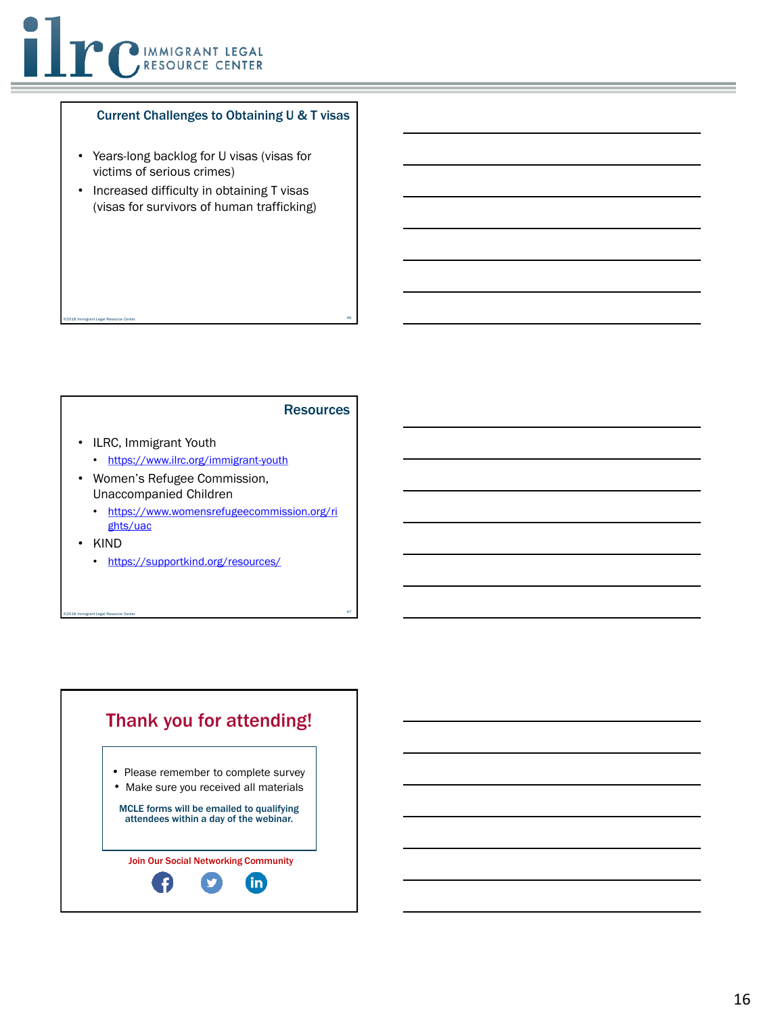

#### Current Challenges to Obtaining U & T visas

- Years-long backlog for U visas (visas for victims of serious crimes)
- Increased difficulty in obtaining T visas (visas for survivors of human trafficking)

46 ©2018 Immigrant Legal Resource Center

#### **Resources**

- ILRC, Immigrant Youth
	- <https://www.ilrc.org/immigrant-youth>
- Women's Refugee Commission, Unaccompanied Children
	- [https://www.womensrefugeecommission.org/ri](https://www.womensrefugeecommission.org/rights/uac) ghts/uac

- KIND
	- <https://supportkind.org/resources/>

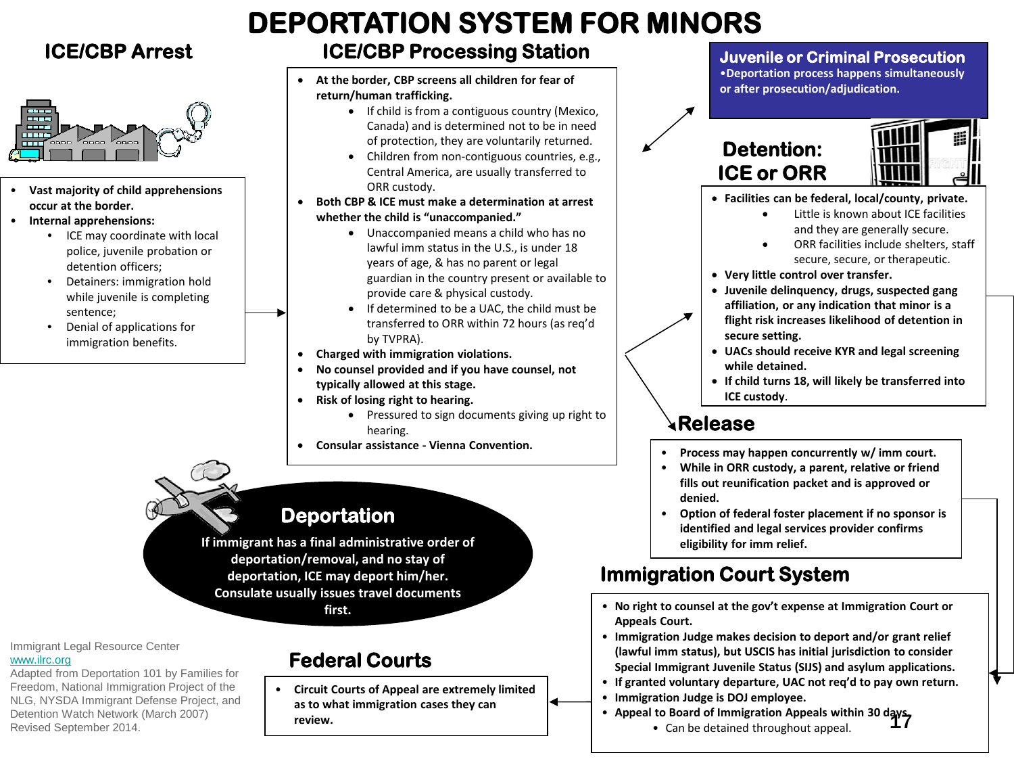## **ICE/CBP Arrest**



- **Vast majority of child apprehensions occur at the border.**
- **Internal apprehensions:**
	- ICE may coordinate with local police, juvenile probation or detention officers;
	- Detainers: immigration hold while juvenile is completing sentence;
	- Denial of applications for immigration benefits.

## **DEPORTATION SYSTEM FOR MINORS**

## **ICE/CBP Processing Station**

- **At the border, CBP screens all children for fear of return/human trafficking.**
	- If child is from a contiguous country (Mexico, Canada) and is determined not to be in need of protection, they are voluntarily returned.
	- Children from non-contiguous countries, e.g., Central America, are usually transferred to ORR custody.
- **Both CBP & ICE must make a determination at arrest whether the child is "unaccompanied."**
	- Unaccompanied means a child who has no lawful imm status in the U.S., is under 18 years of age, & has no parent or legal guardian in the country present or available to provide care & physical custody.
	- If determined to be a UAC, the child must be transferred to ORR within 72 hours (as req'd by TVPRA).
- **Charged with immigration violations.**
- **No counsel provided and if you have counsel, not typically allowed at this stage.**
- **Risk of losing right to hearing.**
	- Pressured to sign documents giving up right to hearing.
- **Consular assistance Vienna Convention.**

## **Deportation**

**If immigrant has a final administrative order of deportation/removal, and no stay of deportation, ICE may deport him/her. Consulate usually issues travel documents first.**

Immigrant Legal Resource Center [www.ilrc.org](http://www.ilrc.org/) 

Adapted from Deportation 101 by Families for Freedom, National Immigration Project of the NLG, NYSDA Immigrant Defense Project, and Detention Watch Network (March 2007) Revised September 2014.

## **Federal Courts**

• **Circuit Courts of Appeal are extremely limited as to what immigration cases they can review.**

### **Juvenile or Criminal Prosecution**

•**Deportation process happens simultaneously or after prosecution/adjudication.**

## **Detention: ICE or ORR**



- **Facilities can be federal, local/county, private.**
	- Little is known about ICE facilities and they are generally secure.
	- ORR facilities include shelters, staff secure, secure, or therapeutic.
- **Very little control over transfer.**
- **Juvenile delinquency, drugs, suspected gang affiliation, or any indication that minor is a flight risk increases likelihood of detention in secure setting.**
- **UACs should receive KYR and legal screening while detained.**
- **If child turns 18, will likely be transferred into ICE custody**.

## **Release**

- **Process may happen concurrently w/ imm court.**
- **While in ORR custody, a parent, relative or friend fills out reunification packet and is approved or denied.**
- **Option of federal foster placement if no sponsor is identified and legal services provider confirms eligibility for imm relief.**

## **Immigration Court System**

- **No right to counsel at the gov't expense at Immigration Court or Appeals Court.**
- **Immigration Judge makes decision to deport and/or grant relief (lawful imm status), but USCIS has initial jurisdiction to consider Special Immigrant Juvenile Status (SIJS) and asylum applications.**
- **If granted voluntary departure, UAC not req'd to pay own return.**
- **Immigration Judge is DOJ employee.**
- **Appeal to Board of Immigration Appeals within 30 days.**<br>17<br>**17** 
	- Can be detained throughout appeal.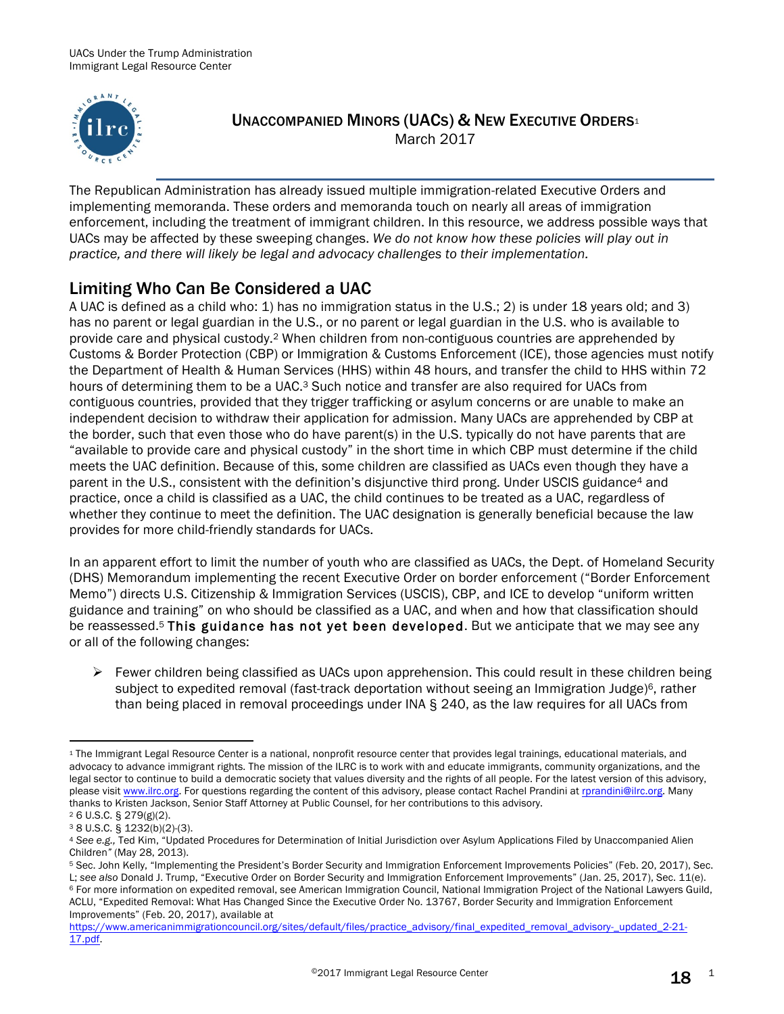

### UNACCOMPANIED MINORS (UACS) & NEW EXECUTIVE ORDERS<sup>1</sup> March 2017

The Republican Administration has already issued multiple immigration-related Executive Orders and implementing memoranda. These orders and memoranda touch on nearly all areas of immigration enforcement, including the treatment of immigrant children. In this resource, we address possible ways that UACs may be affected by these sweeping changes. *We do not know how these policies will play out in practice, and there will likely be legal and advocacy challenges to their implementation.*

## Limiting Who Can Be Considered a UAC

A UAC is defined as a child who: 1) has no immigration status in the U.S.; 2) is under 18 years old; and 3) has no parent or legal guardian in the U.S., or no parent or legal guardian in the U.S. who is available to provide care and physical custody.2 When children from non-contiguous countries are apprehended by Customs & Border Protection (CBP) or Immigration & Customs Enforcement (ICE), those agencies must notify the Department of Health & Human Services (HHS) within 48 hours, and transfer the child to HHS within 72 hours of determining them to be a UAC.<sup>3</sup> Such notice and transfer are also required for UACs from contiguous countries, provided that they trigger trafficking or asylum concerns or are unable to make an independent decision to withdraw their application for admission. Many UACs are apprehended by CBP at the border, such that even those who do have parent(s) in the U.S. typically do not have parents that are "available to provide care and physical custody" in the short time in which CBP must determine if the child meets the UAC definition. Because of this, some children are classified as UACs even though they have a parent in the U.S., consistent with the definition's disjunctive third prong. Under USCIS guidance4 and practice, once a child is classified as a UAC, the child continues to be treated as a UAC, regardless of whether they continue to meet the definition. The UAC designation is generally beneficial because the law provides for more child-friendly standards for UACs.

In an apparent effort to limit the number of youth who are classified as UACs, the Dept. of Homeland Security (DHS) Memorandum implementing the recent Executive Order on border enforcement ("Border Enforcement Memo") directs U.S. Citizenship & Immigration Services (USCIS), CBP, and ICE to develop "uniform written guidance and training" on who should be classified as a UAC, and when and how that classification should be reassessed.<sup>5</sup> This guidance has not yet been developed. But we anticipate that we may see any or all of the following changes:

 $\triangleright$  Fewer children being classified as UACs upon apprehension. This could result in these children being subject to expedited removal (fast-track deportation without seeing an Immigration Judge)<sup>6</sup>, rather than being placed in removal proceedings under INA § 240, as the law requires for all UACs from

<sup>1</sup> The Immigrant Legal Resource Center is a national, nonprofit resource center that provides legal trainings, educational materials, and advocacy to advance immigrant rights. The mission of the ILRC is to work with and educate immigrants, community organizations, and the legal sector to continue to build a democratic society that values diversity and the rights of all people. For the latest version of this advisory, please visit www.ilrc.org. For questions regarding the content of this advisory, please contact Rachel Prandini at rprandini@ilrc.org. Many thanks to Kristen Jackson, Senior Staff Attorney at Public Counsel, for her contributions to this advisory.

<sup>2</sup> 6 U.S.C. § 279(g)(2).

<sup>&</sup>lt;sup>3</sup> 8 U.S.C. § 1232(b)(2)-(3).<br>4 See e.g., Ted Kim, "Updated Procedures for Determination of Initial Jurisdiction over Asylum Applications Filed by Unaccompanied Alien Children" (May 28, 2013).<br><sup>5</sup> Sec. John Kelly, "Implementing the President's Border Security and Immigration Enforcement Improvements Policies" (Feb. 20, 2017), Sec.

L; see also Donald J. Trump, "Executive Order on Border Security and Immigration Enforcement Improvements" (Jan. 25, 2017), Sec. 11(e).<br><sup>6</sup> For more information on expedited removal, see American Immigration Council, Natio ACLU, "Expedited Removal: What Has Changed Since the Executive Order No. 13767, Border Security and Immigration Enforcement Improvements" (Feb. 20, 2017), available at

https://www.americanimmigrationcouncil.org/sites/default/files/practice\_advisory/final\_expedited\_removal\_advisory-\_updated\_2-21- 17.pdf.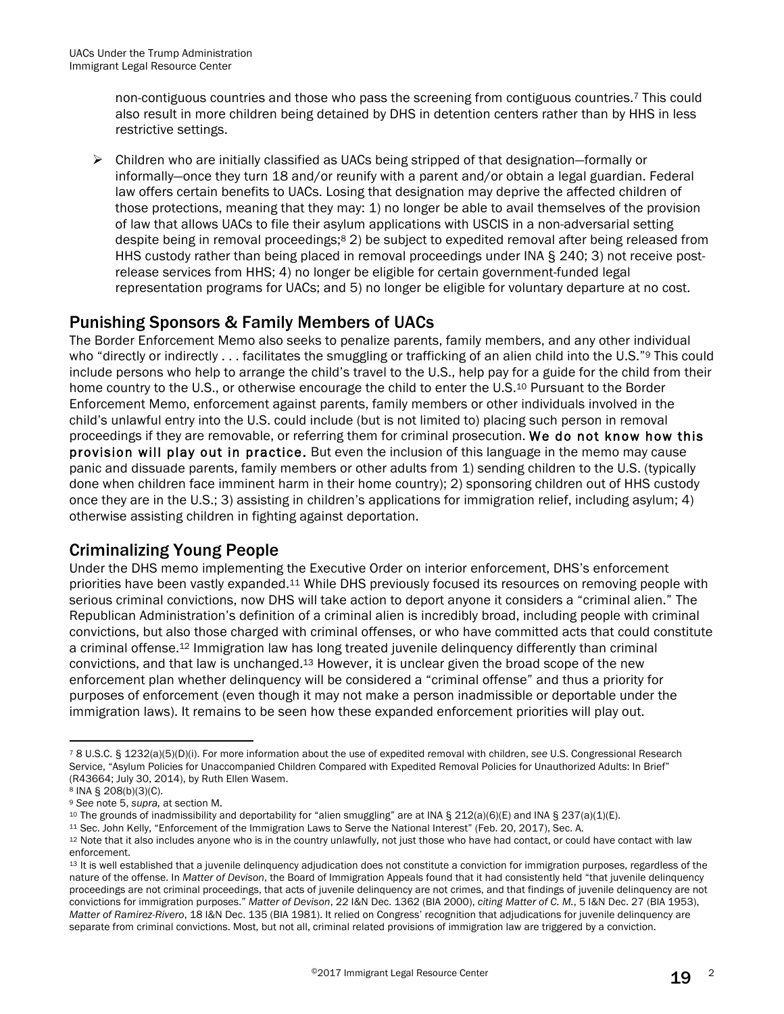non-contiguous countries and those who pass the screening from contiguous countries.7 This could also result in more children being detained by DHS in detention centers rather than by HHS in less restrictive settings.

 $\triangleright$  Children who are initially classified as UACs being stripped of that designation–formally or informally—once they turn 18 and/or reunify with a parent and/or obtain a legal guardian. Federal law offers certain benefits to UACs. Losing that designation may deprive the affected children of those protections, meaning that they may: 1) no longer be able to avail themselves of the provision of law that allows UACs to file their asylum applications with USCIS in a non-adversarial setting despite being in removal proceedings;8 2) be subject to expedited removal after being released from HHS custody rather than being placed in removal proceedings under INA § 240; 3) not receive postrelease services from HHS; 4) no longer be eligible for certain government-funded legal representation programs for UACs; and 5) no longer be eligible for voluntary departure at no cost.

### Punishing Sponsors & Family Members of UACs

The Border Enforcement Memo also seeks to penalize parents, family members, and any other individual who "directly or indirectly . . . facilitates the smuggling or trafficking of an alien child into the U.S."<sup>9</sup> This could include persons who help to arrange the child's travel to the U.S., help pay for a guide for the child from their home country to the U.S., or otherwise encourage the child to enter the U.S.<sup>10</sup> Pursuant to the Border Enforcement Memo, enforcement against parents, family members or other individuals involved in the child's unlawful entry into the U.S. could include (but is not limited to) placing such person in removal proceedings if they are removable, or referring them for criminal prosecution. We do not know how this provision will play out in practice. But even the inclusion of this language in the memo may cause panic and dissuade parents, family members or other adults from 1) sending children to the U.S. (typically done when children face imminent harm in their home country); 2) sponsoring children out of HHS custody once they are in the U.S.; 3) assisting in children's applications for immigration relief, including asylum; 4) otherwise assisting children in fighting against deportation.

### Criminalizing Young People

Under the DHS memo implementing the Executive Order on interior enforcement, DHS's enforcement priorities have been vastly expanded.11 While DHS previously focused its resources on removing people with serious criminal convictions, now DHS will take action to deport anyone it considers a "criminal alien." The Republican Administration's definition of a criminal alien is incredibly broad, including people with criminal convictions, but also those charged with criminal offenses, or who have committed acts that could constitute a criminal offense.12 Immigration law has long treated juvenile delinquency differently than criminal convictions, and that law is unchanged.13 However, it is unclear given the broad scope of the new enforcement plan whether delinquency will be considered a "criminal offense" and thus a priority for purposes of enforcement (even though it may not make a person inadmissible or deportable under the immigration laws). It remains to be seen how these expanded enforcement priorities will play out.

<sup>7</sup> 8 U.S.C. § 1232(a)(5)(D)(i). For more information about the use of expedited removal with children, *see* U.S. Congressional Research Service, "Asylum Policies for Unaccompanied Children Compared with Expedited Removal Policies for Unauthorized Adults: In Brief" (R43664; July 30, 2014), by Ruth Ellen Wasem.

<sup>8</sup> INA § 208(b)(3)(C).

<sup>9</sup> *See* note 5, *supra,* at section M.

<sup>10</sup> The grounds of inadmissibility and deportability for "alien smuggling" are at INA § 212(a)(6)(E) and INA § 237(a)(1)(E).

<sup>11</sup> Sec. John Kelly, "Enforcement of the Immigration Laws to Serve the National Interest" (Feb. 20, 2017), Sec. A.

<sup>12</sup> Note that it also includes anyone who is in the country unlawfully, not just those who have had contact, or could have contact with law enforcement.

<sup>13</sup> It is well established that a juvenile delinquency adjudication does not constitute a conviction for immigration purposes, regardless of the nature of the offense. In *Matter of Devison*, the Board of Immigration Appeals found that it had consistently held "that juvenile delinquency proceedings are not criminal proceedings, that acts of juvenile delinquency are not crimes, and that findings of juvenile delinquency are not convictions for immigration purposes." *Matter of Devison*, 22 I&N Dec. 1362 (BIA 2000), *citing Matter of C. M.*, 5 I&N Dec. 27 (BIA 1953), *Matter of Ramirez-Rivero*, 18 I&N Dec. 135 (BIA 1981). It relied on Congress' recognition that adjudications for juvenile delinquency are separate from criminal convictions. Most, but not all, criminal related provisions of immigration law are triggered by a conviction.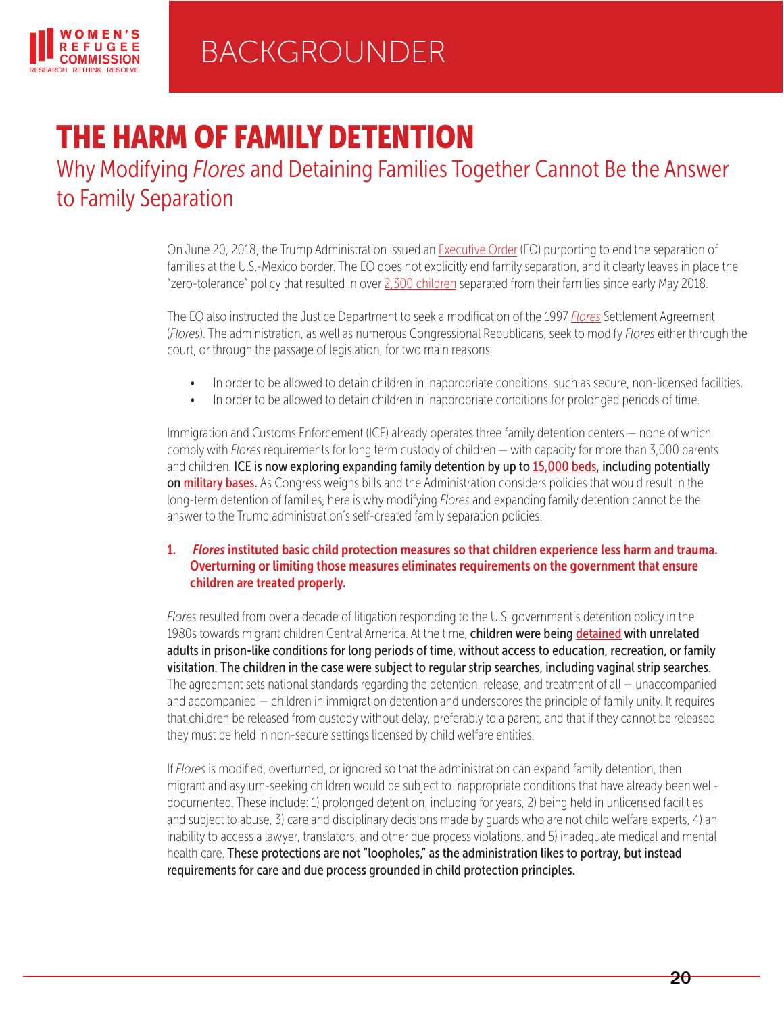

# THE HARM OF FAMILY DETENTION

Why Modifying *Flores* and Detaining Families Together Cannot Be the Answer to Family Separation

> On June 20, 2018, the Trump Administration issued an [Executive Order](https://www.whitehouse.gov/presidential-actions/affording-congress-opportunity-address-family-separation/) (EO) purporting to end the separation of families at the U.S.-Mexico border. The EO does not explicitly end family separation, and it clearly leaves in place the "zero-tolerance" policy that resulted in over [2,300 children](https://www.npr.org/2018/06/19/621065383/what-we-know-family-separation-and-zero-tolerance-at-the-border) separated from their families since early May 2018.

The EO also instructed the Justice Department to seek a modification of the 1997 *[Flores](https://www.womensrefugeecommission.org/images/zdocs/Flores-Settlement-and-Family-Detention-2016-07.pdf)* Settlement Agreement (*Flores*). The administration, as well as numerous Congressional Republicans, seek to modify *Flores* either through the court, or through the passage of legislation, for two main reasons:

- In order to be allowed to detain children in inappropriate conditions, such as secure, non-licensed facilities.
- In order to be allowed to detain children in inappropriate conditions for prolonged periods of time.

Immigration and Customs Enforcement (ICE) already operates three family detention centers — none of which comply with *Flores* requirements for long term custody of children — with capacity for more than 3,000 parents and children. ICE is now exploring expanding family detention by up to [15,000 beds,](https://www.nytimes.com/aponline/2018/06/23/us/ap-us-immigration-family-detention.html) including potentially on [military bases.](https://www.npr.org/2018/06/28/624294618/military-bases-to-start-building-tents-after-july-4-to-house-migrant-families) As Congress weighs bills and the Administration considers policies that would result in the long-term detention of families, here is why modifying *Flores* and expanding family detention cannot be the answer to the Trump administration's self-created family separation policies.

#### 1. *Flores* instituted basic child protection measures so that children experience less harm and trauma. Overturning or limiting those measures eliminates requirements on the government that ensure children are treated properly.

*Flores* resulted from over a decade of litigation responding to the U.S. government's detention policy in the 1980s towards migrant children Central America. At the time, children were being [detained](https://www.nbcnews.com/storyline/immigration-border-crisis/when-migrant-children-were-detained-among-adults-strip-searched-n161956) with unrelated adults in prison-like conditions for long periods of time, without access to education, recreation, or family visitation. The children in the case were subject to regular strip searches, including vaginal strip searches. The agreement sets national standards regarding the detention, release, and treatment of all — unaccompanied and accompanied — children in immigration detention and underscores the principle of family unity. It requires that children be released from custody without delay, preferably to a parent, and that if they cannot be released they must be held in non-secure settings licensed by child welfare entities.

If *Flores* is modified, overturned, or ignored so that the administration can expand family detention, then migrant and asylum-seeking children would be subject to inappropriate conditions that have already been welldocumented. These include: 1) prolonged detention, including for years, 2) being held in unlicensed facilities and subject to abuse, 3) care and disciplinary decisions made by guards who are not child welfare experts, 4) an inability to access a lawyer, translators, and other due process violations, and 5) inadequate medical and mental health care. These protections are not "loopholes," as the administration likes to portray, but instead requirements for care and due process grounded in child protection principles.

20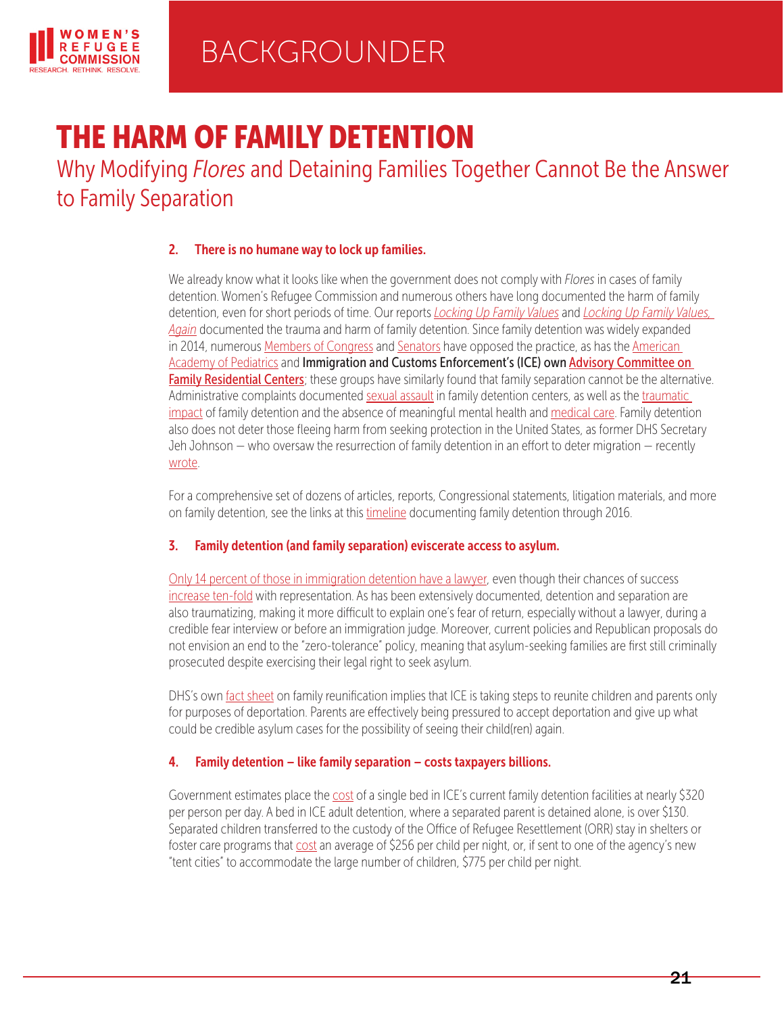

# THE HARM OF FAMILY DETENTION

Why Modifying *Flores* and Detaining Families Together Cannot Be the Answer to Family Separation

#### 2. There is no humane way to lock up families.

We already know what it looks like when the government does not comply with *Flores* in cases of family detention. Women's Refugee Commission and numerous others have long documented the harm of family detention, even for short periods of time. Our reports *[Locking Up Family Values](https://www.womensrefugeecommission.org/images/zdocs/famdeten.pdf)* and *[Locking Up Family Values,](https://www.womensrefugeecommission.org/resources/document/1085-locking-up-family-values-again)  [Again](https://www.womensrefugeecommission.org/resources/document/1085-locking-up-family-values-again)* documented the trauma and harm of family detention. Since family detention was widely expanded in 2014, numerous [Members of Congress](https://lofgren.house.gov/media/press-releases/178-house-democrats-dhs-end-family-detention-now?DocumentID=397976) and [Senators](https://www.leahy.senate.gov/press/leading-senators-call-for-the-release-of-children-in-prolonged-detention-and-an-end-to-family-detention) have opposed the practice, as has the [American](http://pediatrics.aappublications.org/content/early/2017/03/09/peds.2017-0483)  [Academy of Pediatrics](http://pediatrics.aappublications.org/content/early/2017/03/09/peds.2017-0483) and Immigration and Customs Enforcement's (ICE) own Advisory Committee on [Family Residential Centers](https://www.ice.gov/sites/default/files/documents/Report/2016/acfrc-report-final-102016.pdf); these groups have similarly found that family separation cannot be the alternative. Administrative complaints documented [sexual assault](https://www.maldef.org/assets/pdf/2014-09-30_Karnes_PREA_Letter_Complaint.pdf) in family detention centers, as well as the traumatic [impact](http://www.aila.org/advo-media/press-releases/2015/impact-family-detention-mental-health/complaint-crcl) of family detention and the absence of meaningful mental health and [medical care](http://www.aila.org/advo-media/press-releases/2015/deplorable-medical-treatment-at-fam-detention-ctrs/public-version-of-complaint-to-crcl). Family detention also does not deter those fleeing harm from seeking protection in the United States, as former DHS Secretary Jeh Johnson — who oversaw the resurrection of family detention in an effort to deter migration — recently [wrote](https://www.washingtonpost.com/opinions/trumps-zero-tolerance-border-policy-is-immoral-un-american--and-ineffective/2018/06/18/efc4c514-732d-11e8-b4b7-308400242c2e_story.html).

For a comprehensive set of dozens of articles, reports, Congressional statements, litigation materials, and more on family detention, see the links at this [timeline](http://cdn.knightlab.com/libs/timeline/latest/embed/index.html?source=1qfygAAhaO63i2UB3fuD5dfFTQaegTwn_7eaMkBVqZJQ&font=Bevan-PotanoSans&maptype=toner&lang=en&height=650) documenting family detention through 2016.

#### 3. Family detention (and family separation) eviscerate access to asylum.

[Only 14 percent of those in immigration detention have a lawyer](https://www.americanimmigrationcouncil.org/research/access-counsel-immigration-court), even though their chances of success [increase ten-fold](https://www.americanimmigrationcouncil.org/research/access-counsel-immigration-court) with representation. As has been extensively documented, detention and separation are also traumatizing, making it more difficult to explain one's fear of return, especially without a lawyer, during a credible fear interview or before an immigration judge. Moreover, current policies and Republican proposals do not envision an end to the "zero-tolerance" policy, meaning that asylum-seeking families are first still criminally prosecuted despite exercising their legal right to seek asylum.

DHS's own [fact sheet](https://www.dhs.gov/news/2018/06/23/fact-sheet-zero-tolerance-prosecution-and-family-reunification) on family reunification implies that ICE is taking steps to reunite children and parents only for purposes of deportation. Parents are effectively being pressured to accept deportation and give up what could be credible asylum cases for the possibility of seeing their child(ren) again.

#### 4. Family detention – like family separation – costs taxpayers billions.

Government estimates place the [cost](https://www.womensrefugeecommission.org/images/zdocs/The-Real-Alternatives-to-Detention-FINAL-06-27-17.pdf) of a single bed in ICE's current family detention facilities at nearly \$320 per person per day. A bed in ICE adult detention, where a separated parent is detained alone, is over \$130. Separated children transferred to the custody of the Office of Refugee Resettlement (ORR) stay in shelters or foster care programs that [cost](https://www.nbcnews.com/storyline/immigration-border-crisis/trump-admin-s-tent-cities-cost-more-keeping-migrant-kids-n884871) an average of \$256 per child per night, or, if sent to one of the agency's new "tent cities" to accommodate the large number of children, \$775 per child per night.

21